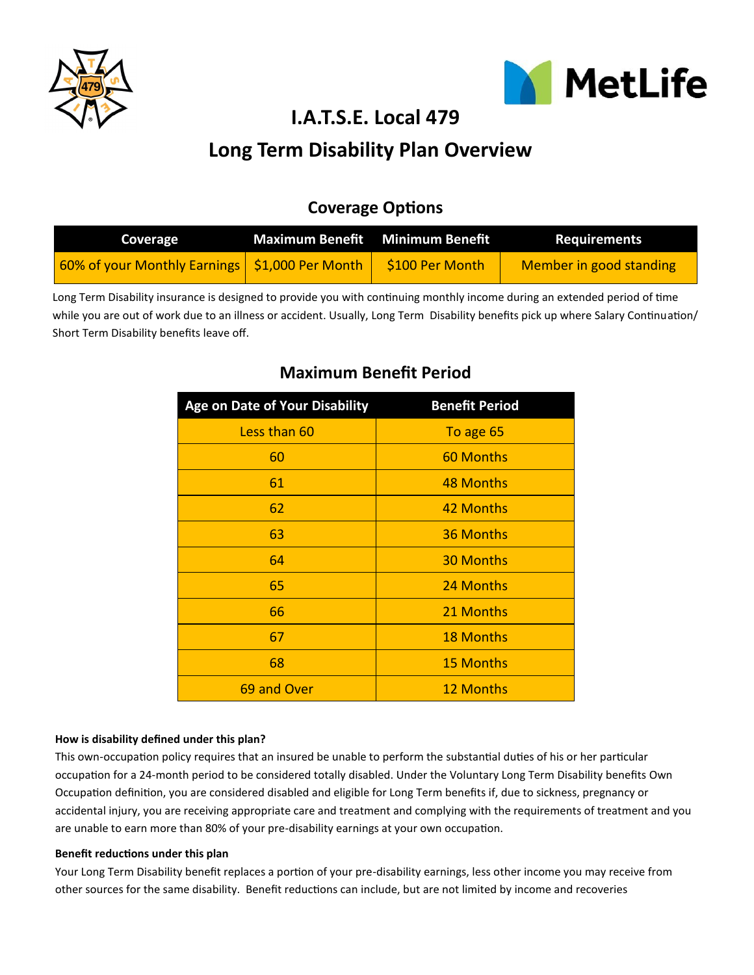



**I.A.T.S.E. Local 479**

# **Long Term Disability Plan Overview**

## **Coverage Options**

| Coverage                                         | Maximum Benefit Minimum Benefit | <b>Requirements</b>     |
|--------------------------------------------------|---------------------------------|-------------------------|
| 60% of your Monthly Earnings   \$1,000 Per Month | \$100 Per Month                 | Member in good standing |

Long Term Disability insurance is designed to provide you with continuing monthly income during an extended period of time while you are out of work due to an illness or accident. Usually, Long Term Disability benefits pick up where Salary Continuation/ Short Term Disability benefits leave off.

| <b>Age on Date of Your Disability</b> | <b>Benefit Period</b> |  |
|---------------------------------------|-----------------------|--|
| Less than 60                          | To age 65             |  |
| 60                                    | 60 Months             |  |
| 61                                    | 48 Months             |  |
| 62                                    | 42 Months             |  |
| 63                                    | 36 Months             |  |
| 64                                    | <b>30 Months</b>      |  |
| 65                                    | 24 Months             |  |
| 66                                    | 21 Months             |  |
| 67                                    | <b>18 Months</b>      |  |
| 68                                    | <b>15 Months</b>      |  |
| 69 and Over                           | <b>12 Months</b>      |  |

## **Maximum Benefit Period**

### **How is disability defined under this plan?**

This own-occupation policy requires that an insured be unable to perform the substantial duties of his or her particular occupation for a 24-month period to be considered totally disabled. Under the Voluntary Long Term Disability benefits Own Occupation definition, you are considered disabled and eligible for Long Term benefits if, due to sickness, pregnancy or accidental injury, you are receiving appropriate care and treatment and complying with the requirements of treatment and you are unable to earn more than 80% of your pre-disability earnings at your own occupation.

#### **Benefit reductions under this plan**

Your Long Term Disability benefit replaces a portion of your pre-disability earnings, less other income you may receive from other sources for the same disability. Benefit reductions can include, but are not limited by income and recoveries